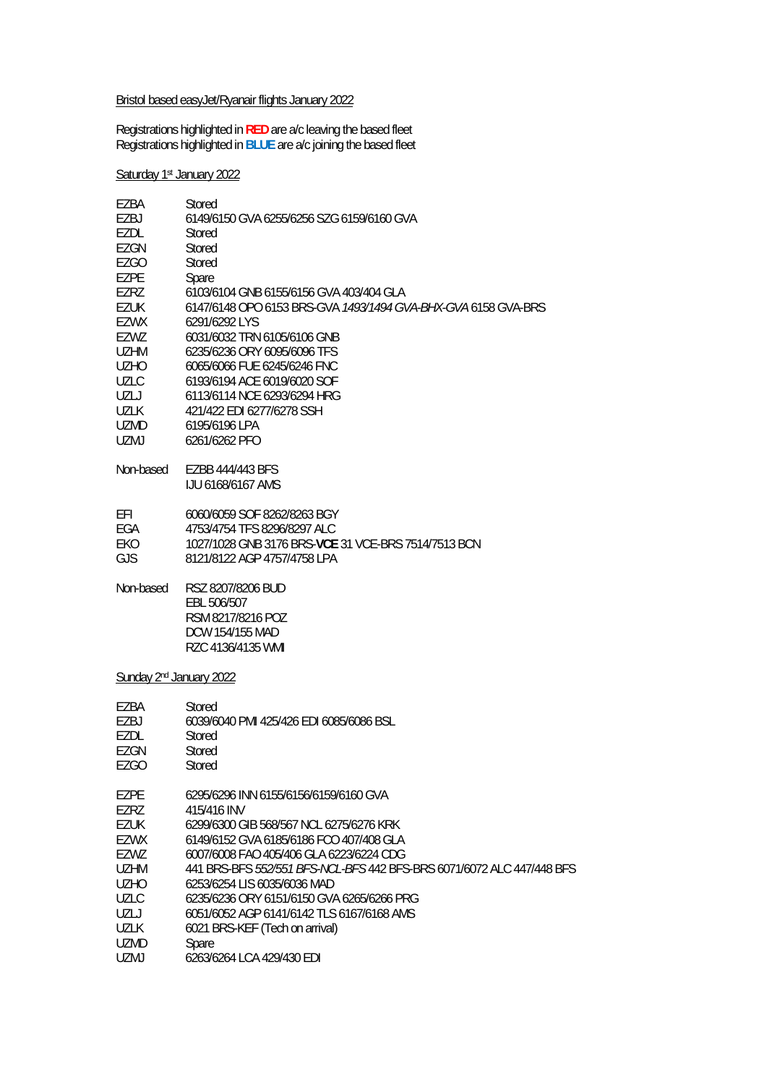## Bristol based easyJet/Ryanair flights January 2022

Registrations highlighted in **RED** are a/c leaving the based fleet Registrations highlighted in **BLUE** are a/c joining the based fleet

Saturday 1st January 2022

| EZBA<br>EZBJ | Stored<br>6149/6150 GVA 6255/6256 SZG 6159/6160 GVA                   |
|--------------|-----------------------------------------------------------------------|
| EZDL         | Stored                                                                |
| EZGN         | Stored                                                                |
| EZGO         | Stored                                                                |
| EZPE         | Spare                                                                 |
| EZRZ         | 6103/6104 GNB 6155/6156 GVA 403/404 GLA                               |
| ezuk         | 6147/6148 OPO 6153 BRS-GVA 1493/1494 GVA-BHX-GVA 6158 GVA-BRS         |
| <b>EZWX</b>  | 6291/6292 LYS                                                         |
| EZWZ         | 6031/6032 TRN 6105/6106 GNB                                           |
| UZHM         | 6235/6236 ORY 6095/6096 TFS                                           |
| UZHO         | 6065/6066 FUE 6245/6246 FNC                                           |
| <b>UZLC</b>  | 6193/6194 ACE 6019/6020 SOF                                           |
| UZLJ         | 6113/6114 NCE 6293/6294 HRG                                           |
| UZLK         | 421/422 EDI 6277/6278 SSH                                             |
| UZMD         | 6195/6196 LPA                                                         |
| UZMJ         | 6261/6262 PFO                                                         |
| Non-based    | EZBB 444/443 BFS                                                      |
|              | <b>IJU 6168/6167 AMS</b>                                              |
| EFI          | 6060/6059 SOF 8262/8263 BGY                                           |
| EGA          | 4753/4754 TFS 8296/8297 ALC                                           |
| EKO          | 1027/1028 GNB 3176 BRS-VCE 31 VCE-BRS 7514/7513 BCN                   |
| GJS          | 8121/8122 AGP 4757/4758 LPA                                           |
| Non-based    | RSZ 8207/8206 BUD<br>EBL 506/507                                      |
|              | RSM 8217/8216 POZ                                                     |
|              | DCW 154/155 MAD                                                       |
|              | RZC 4136/4135 WMI                                                     |
|              | Sunday 2 <sup>nd</sup> January 2022                                   |
| EZBA         | Stored                                                                |
| EZBJ         | 6039/6040 PMI 425/426 EDI 6085/6086 BSL                               |
| ezdl         | Stored                                                                |
| EZGN         | Stored                                                                |
| <b>EZGO</b>  | Stored                                                                |
| EZPE         | 6295/6296 INN 6155/6156/6159/6160 GVA                                 |
| EZRZ         | 415/416 INV                                                           |
| EZUK         | 6299/6300 GIB 568/567 NCL 6275/6276 KRK                               |
| EZWX         | 6149/6152 GVA 6185/6186 FCO 407/408 GLA                               |
| EZWZ         | 6007/6008 FAO 405/406 GLA 6223/6224 CDG                               |
| UZHM         | 441 BRS-BFS 552/551 BFS-NCL-BFS 442 BFS-BRS 6071/6072 ALC 447/448 BFS |
| UZHO         | 6253/6254 LIS 6035/6036 MAD                                           |
| UZLC         | 6235/6236 ORY 6151/6150 GVA 6265/6266 PRG                             |
| UZLJ         | 6051/6052 AGP 6141/6142 TLS 6167/6168 AMS                             |
| UZLK         | 6021 BRS-KEF (Tech on arrival)                                        |
| UZMD         | Spare                                                                 |
| UZMJ         | 6263/6264 LCA 429/430 EDI                                             |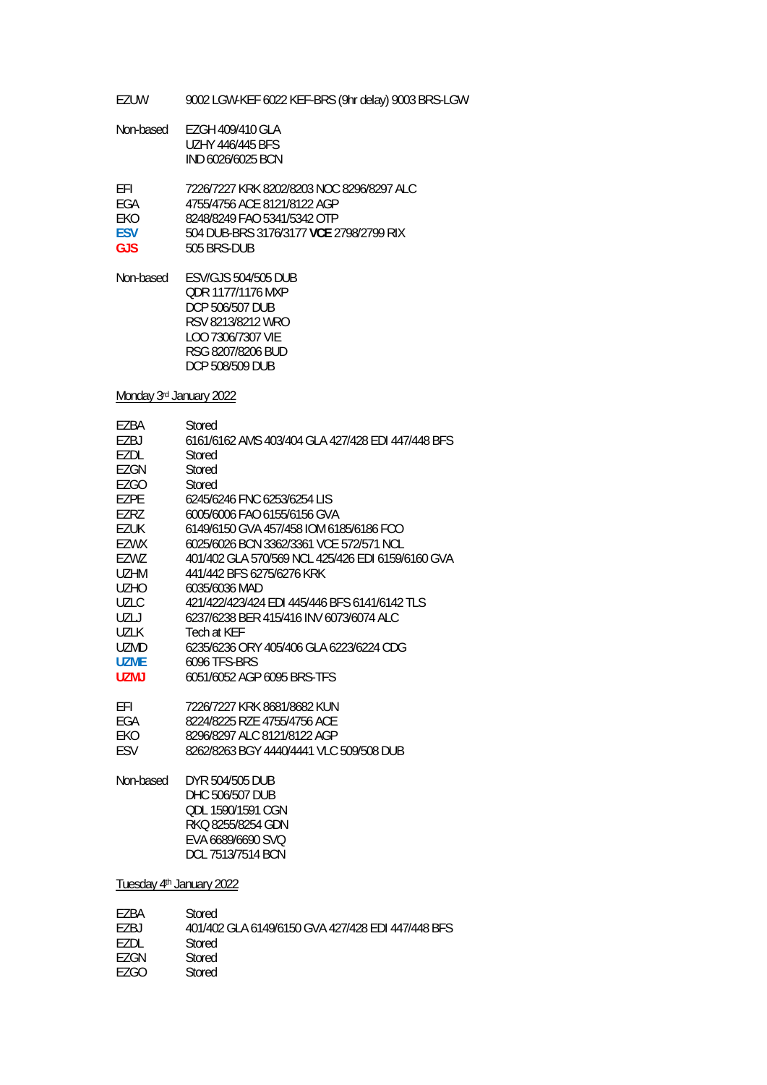EZUW 9002 LGW-KEF 6022 KEF-BRS (9hr delay) 9003 BRS-LGW

| Non-based | EZGH 409/410 GLA        |
|-----------|-------------------------|
|           | <b>UZHY 446/445 BFS</b> |
|           | IND 6026/6025 BCN       |

EFI 7226/7227 KRK 8202/8203 NOC 8296/8297 ALC

- EGA 4755/4756 ACE 8121/8122 AGP<br>EKO 8248/8249 FAO 5341/5342 OTP
- EKO 8248/8249 FAO 5341/5342 OTP<br>ESV 504 DUB-BRS 3176/3177 VCE 2
- **ESV** 504 DUB-BRS 3176/3177 **VCE** 2798/2799 RIX
- GJS 505 BRS-DUB

Non-based ESV/GJS 504/505 DUB QDR 1177/1176 MXP DCP 506/507 DUB RSV 8213/8212 WRO LOO 7306/7307 VIE RSG 8207/8206 BUD DCP 508/509 DUB

Monday 3rd January 2022

| F7BA        | Stored                                            |
|-------------|---------------------------------------------------|
| F7BJ        | 6161/6162 AMS 403/404 GLA 427/428 EDI 447/448 BFS |
| F7DI.       | Stored                                            |
| EZGN        | Stored                                            |
| EZGO        | Stored                                            |
| F7PF        | 6245/6246 FNC 6253/6254 LIS                       |
| F7R7        | 6005/6006 FAO 6155/6156 GVA                       |
| F7UK        | 6149/6150 GVA 457/458 IOM 6185/6186 FCO           |
| FZWX        | 6025/6026 BCN 3362/3361 VCF 572/571 NCL           |
| F7W7        | 401/402 GLA 570/569 NCL 425/426 FDL6159/6160 GVA  |
| UZHM        | 441/442 BFS 6275/6276 KRK                         |
| UZHO        | 6035/6036 MAD                                     |
| UZLC.       | 421/422/423/424 EDI 445/446 BFS 6141/6142 TLS     |
| UZL J       | 6237/6238 BER 415/416 INV 6073/6074 ALC           |
| UZL K       | Tech at KFF                                       |
| UZMD        | 6235/6236 ORY 405/406 GLA 6223/6224 CDG           |
| UZMF        | 6096 TFS-BRS                                      |
| <b>UZMJ</b> | 6051/6052 AGP 6095 BRS-TFS                        |
|             |                                                   |

| FFI | 7226/7227 KRK 8681/8682 KUN |
|-----|-----------------------------|
| FGA | 8224/8225 RZE 4755/4756 ACE |

- EKO 8296/8297 ALC 8121/8122 AGP<br>ESV 8262/8263 BGY 4440/4441 VLC
- ESV 8262/8263 BGY 4440/4441 VLC 509/508 DUB

Non-based DYR 504/505 DUB DHC 506/507 DUB QDL 1590/1591 CGN RKQ 8255/8254 GDN EVA 6689/6690 SVQ DCL 7513/7514 BCN

Tuesday 4<sup>th</sup> January 2022

| F7RA  | Stored                                            |
|-------|---------------------------------------------------|
| F7R I | 401/402 GLA 6149/6150 GVA 427/428 EDI 447/448 BFS |
| F7DI. | Stored                                            |
| F7GN  | Stored                                            |
| F7GO  | Stored                                            |
|       |                                                   |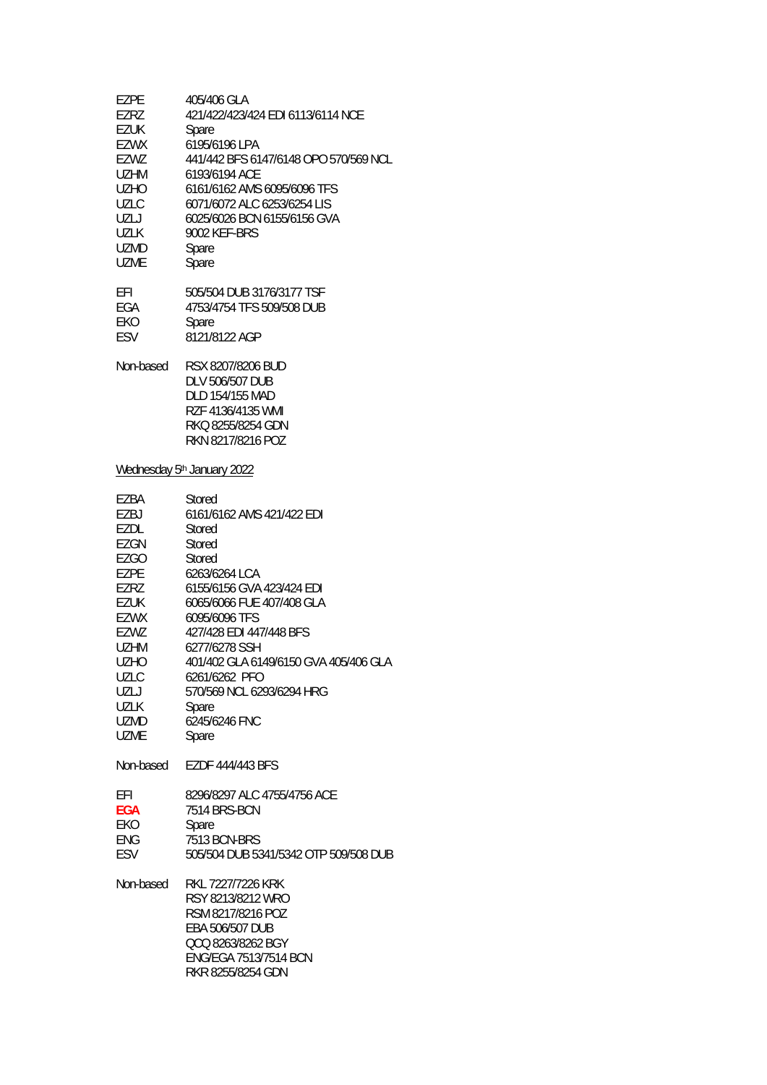| <b>EZPE</b> | 405/406 GLA                                                                                                                                              |
|-------------|----------------------------------------------------------------------------------------------------------------------------------------------------------|
| <b>EZRZ</b> | 421/422/423/424 EDI 6113/6114 NCE                                                                                                                        |
| <b>EZUK</b> | Spare                                                                                                                                                    |
| EZWX        | 6195/6196 LPA                                                                                                                                            |
| EZWZ        | 441/442 BFS 6147/6148 OPO 570/569 NCL                                                                                                                    |
| <b>UZHM</b> | 6193/6194 ACE                                                                                                                                            |
| <b>UZHO</b> | 6161/6162 AMS 6095/6096 TFS                                                                                                                              |
| UZLC        | 6071/6072 ALC 6253/6254 LIS                                                                                                                              |
| UZLJ        | 6025/6026 BCN 6155/6156 GVA                                                                                                                              |
| <b>UZLK</b> | 9002 KEF-BRS                                                                                                                                             |
| UZMD        | Spare                                                                                                                                                    |
| <b>UZME</b> | Spare                                                                                                                                                    |
| EFI         | 505/504 DUB 3176/3177 TSF                                                                                                                                |
| EGA         | 4753/4754 TFS 509/508 DUB                                                                                                                                |
| EKO         | Spare                                                                                                                                                    |
| ESV         | 8121/8122 AGP                                                                                                                                            |
| Non-based   | RSX 8207/8206 BUD<br><b>DLV 506/507 DUB</b><br>DLD 154/155 MAD<br>RZF 4136/4135 WMI<br>RKQ 8255/8254 GDN<br>RKN 8217/8216 POZ                            |
|             | Wednesday 5 <sup>th</sup> January 2022                                                                                                                   |
| EZBA        | Stored                                                                                                                                                   |
| EZBJ        | 6161/6162 AMS 421/422 EDI                                                                                                                                |
| EZDL        | Stored                                                                                                                                                   |
| EZGN        | Stored                                                                                                                                                   |
| EZGO        | Stored                                                                                                                                                   |
| <b>EZPE</b> | 6263/6264 LCA                                                                                                                                            |
| EZRZ        | 6155/6156 GVA 423/424 EDI                                                                                                                                |
| <b>EZUK</b> | 6065/6066 FUE 407/408 GLA                                                                                                                                |
| EZWX        | 6095/6096 TFS                                                                                                                                            |
| EZWZ        | 427/428 EDI 447/448 BFS                                                                                                                                  |
| <b>UZHM</b> | 6277/6278 SSH                                                                                                                                            |
| <b>UZHO</b> | 401/402 GLA 6149/6150 GVA 405/406 GLA                                                                                                                    |
| UZLC        | 6261/6262 PFO                                                                                                                                            |
| UZLJ        | 570/569 NCL 6293/6294 HRG                                                                                                                                |
| UZLK        | Spare                                                                                                                                                    |
| UZMD        | 6245/6246 FNC                                                                                                                                            |
| <b>UZME</b> | Spare                                                                                                                                                    |
| Non-based   | EZDF 444/443 BFS                                                                                                                                         |
| EFI         | 8296/8297 ALC 4755/4756 ACE                                                                                                                              |
| <b>EGA</b>  | 7514 BRS-BCN                                                                                                                                             |
| EKO         | Spare                                                                                                                                                    |
| <b>ENG</b>  | 7513 BCN-BRS                                                                                                                                             |
| <b>ESV</b>  | 505/504 DUB 5341/5342 OTP 509/508 DUB                                                                                                                    |
| Non-based   | RKL 7227/7226 KRK<br>RSY 8213/8212 WRO<br>RSM 8217/8216 POZ<br>EBA 506/507 DUB<br>QCQ 8263/8262 BGY<br><b>ENG/EGA 7513/7514 BCN</b><br>RKR 8255/8254 GDN |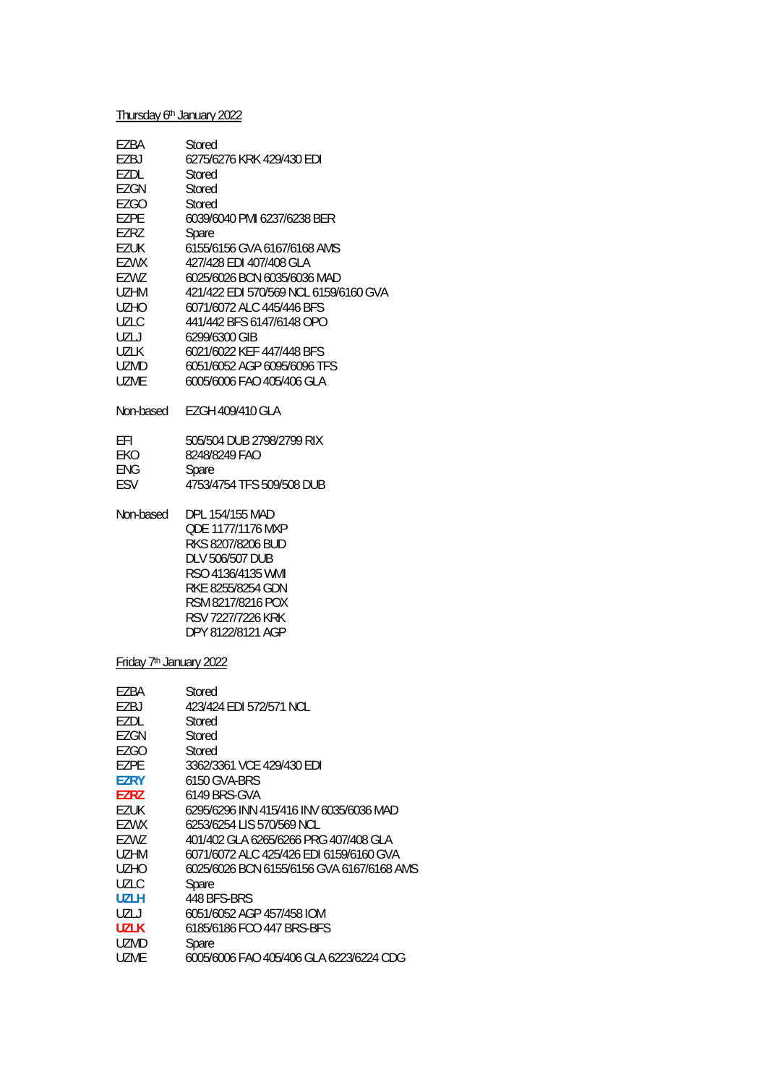# Thursday 6<sup>th</sup> January 2022

| EZBA<br>EZBJ<br>EZDL<br>EZGN<br><b>EZGO</b><br><b>EZPE</b><br>EZRZ<br>EZUK<br>EZWX<br>EZWZ<br><b>UZHM</b><br>UZHO<br>UZLC<br>UZLJ<br>UZLK<br>UZMD<br>UZME                                                                                | Stored<br>6275/6276 KRK 429/430 EDI<br>Stored<br>Stored<br>Stored<br>6039/6040 PMI 6237/6238 BER<br>Spare<br>6155/6156 GVA 6167/6168 AMS<br>427/428 EDI 407/408 GLA<br>6025/6026 BCN 6035/6036 MAD<br>421/422 EDI 570/569 NCL 6159/6160 GVA<br>6071/6072 ALC 445/446 BFS<br>441/442 BFS 6147/6148 OPO<br>6299/6300 GIB<br>6021/6022 KEF 447/448 BFS<br>6051/6052 AGP 6095/6096 TFS<br>6005/6006 FAO 405/406 GLA                                                             |  |
|------------------------------------------------------------------------------------------------------------------------------------------------------------------------------------------------------------------------------------------|-----------------------------------------------------------------------------------------------------------------------------------------------------------------------------------------------------------------------------------------------------------------------------------------------------------------------------------------------------------------------------------------------------------------------------------------------------------------------------|--|
| Non-based                                                                                                                                                                                                                                | EZGH 409/410 GLA                                                                                                                                                                                                                                                                                                                                                                                                                                                            |  |
| EFI<br>EKO<br><b>ENG</b><br>ESV                                                                                                                                                                                                          | 505/504 DUB 2798/2799 RIX<br>8248/8249 FAO<br>Spare<br>4753/4754 TFS 509/508 DUB                                                                                                                                                                                                                                                                                                                                                                                            |  |
| Non-based                                                                                                                                                                                                                                | DPL 154/155 MAD<br>QDE 1177/1176 MXP<br>RKS 8207/8206 BUD<br>DLV 506/507 DUB<br>RSO 4136/4135 WMI<br>RKE 8255/8254 GDN<br>RSM 8217/8216 POX<br>RSV 7227/7226 KRK<br>DPY 8122/8121 AGP                                                                                                                                                                                                                                                                                       |  |
| Friday 7 <sup>th</sup> January 2022                                                                                                                                                                                                      |                                                                                                                                                                                                                                                                                                                                                                                                                                                                             |  |
| EZBA<br>EZBJ<br><b>EZDL</b><br><b>EZGN</b><br><b>EZGO</b><br><b>EZPE</b><br><b>EZRY</b><br><b>EZRZ</b><br><b>EZUK</b><br>EZWX<br>EZWZ<br><b>UZHM</b><br><b>UZHO</b><br><b>UZLC</b><br><b>UZLH</b><br>UZLJ<br><b>UZLK</b><br>UZMD<br>UZME | Stored<br>423/424 EDI 572/571 NCL<br>Stored<br>Stored<br>Stored<br>3362/3361 VCE 429/430 EDI<br>6150 GVA-BRS<br>6149 BRS-GVA<br>6295/6296 INN 415/416 INV 6035/6036 MAD<br>6253/6254 LIS 570/569 NCL<br>401/402 GLA 6265/6266 PRG 407/408 GLA<br>6071/6072 ALC 425/426 EDI 6159/6160 GVA<br>6025/6026 BCN 6155/6156 GVA 6167/6168 AMS<br>Spare<br>448 BFS-BRS<br>6051/6052 AGP 457/458 IOM<br>6185/6186 FCO 447 BRS-BFS<br>Spare<br>6005/6006 FAO 405/406 GLA 6223/6224 CDG |  |
|                                                                                                                                                                                                                                          |                                                                                                                                                                                                                                                                                                                                                                                                                                                                             |  |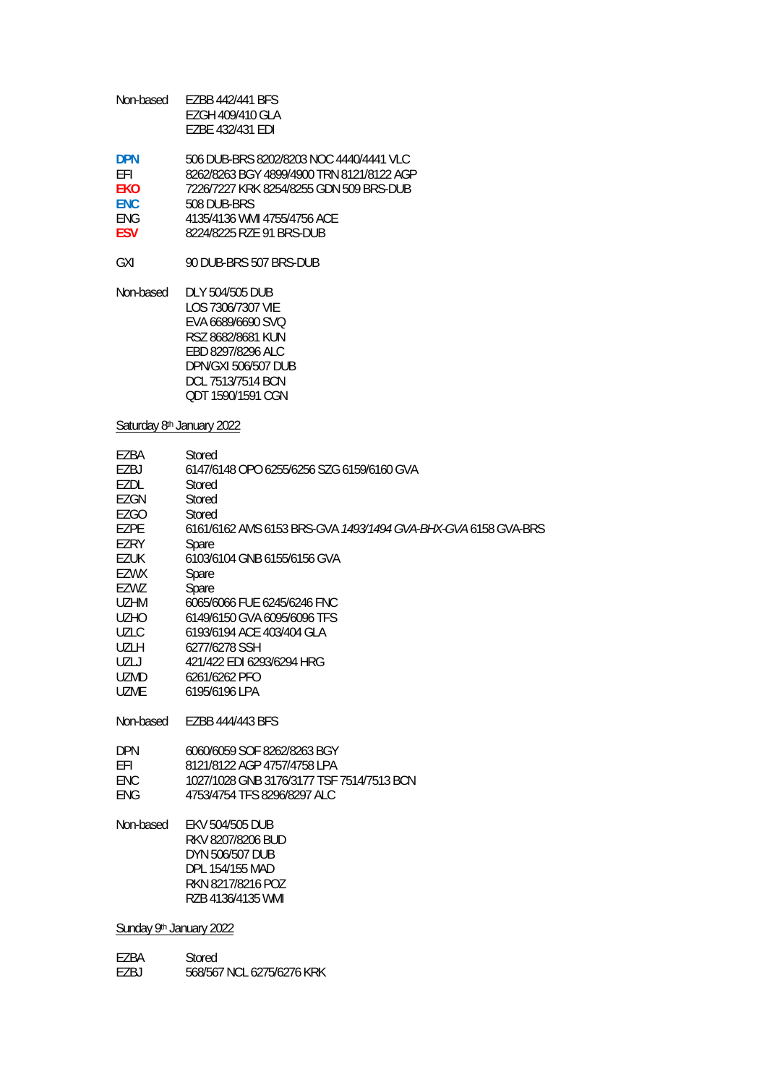| Non-based | EZBB 442/441 BFS |
|-----------|------------------|
|           | EZGH 409/410 GLA |
|           | EZBE 432/431 EDI |

| <b>DPN</b> | 506 DUB-BRS 8202/8203 NOC 4440/4441 VLC   |
|------------|-------------------------------------------|
| FFI.       | 8262/8263 BGY 4899/4900 TRN 8121/8122 AGP |
| <b>FKO</b> | 7226/7227 KRK 8254/8255 GDN 509 BRS-DUB   |
| <b>FNC</b> | 508 DUB-BRS                               |
| <b>FNG</b> | 4135/4136 WMI 4755/4756 ACF               |
| <b>FSV</b> | 8224/8225 R7F 91 BRS-DUB                  |

GXI 90 DUB-BRS 507 BRS-DUB

Non-based DLY 504/505 DUB LOS 7306/7307 VIE EVA 6689/6690 SVQ RSZ 8682/8681 KUN EBD 8297/8296 ALC DPN/GXI 506/507 DUB DCL 7513/7514 BCN QDT 1590/1591 CGN

#### Saturday 8<sup>th</sup> January 2022

| EZBA        | Stored                                                        |
|-------------|---------------------------------------------------------------|
| F7BJ        | 6147/6148 OPO 6255/6256 SZG 6159/6160 GVA                     |
| F7DI.       | Stored                                                        |
| EZGN        | Stored                                                        |
| EZGO        | Stored                                                        |
| F7PF        | 6161/6162 AMS 6153 BRS-GVA 1493/1494 GVA-BHX-GVA 6158 GVA-BRS |
| EZRY        | Spare                                                         |
| <b>EZUK</b> | 6103/6104 GNB 6155/6156 GVA                                   |
| EZWX        | Spare                                                         |
| EZWZ        | Spare                                                         |
| <b>UZHM</b> | 6065/6066 FUE 6245/6246 FNC                                   |
| <b>UZHO</b> | 6149/6150 GVA 6095/6096 TFS                                   |
| <b>UZLC</b> | 6193/6194 ACE 403/404 GLA                                     |
| UZLH        | 6277/6278 SSH                                                 |
| UZLJ        | 421/422 FDI 6293/6294 HRG                                     |
| UZMD.       | 6261/6262 PFO                                                 |
| <b>UZME</b> | 6195/6196 LPA                                                 |
| Non-based   | EZBB 444/443 BFS                                              |
| <b>DPN</b>  | 6060/6059 SOF 8262/8263 BGY                                   |
| EFI         | 8121/8122 AGP 4757/4758 LPA                                   |
| <b>ENC</b>  | 1027/1028 GNB 3176/3177 TSF 7514/7513 BCN                     |
| ENG         | 4753/4754 TFS 8296/8297 ALC                                   |
|             |                                                               |
| Non-hasad   | EKV 504/505 DHR                                               |

Non-based EKV 504/505 DUB RKV 8207/8206 BUD DYN 506/507 DUB DPL 154/155 MAD RKN 8217/8216 POZ RZB 4136/4135 WMI

Sunday 9<sup>th</sup> January 2022

| F7BA | Stored                    |
|------|---------------------------|
| EZBJ | 568/567 NCL 6275/6276 KRK |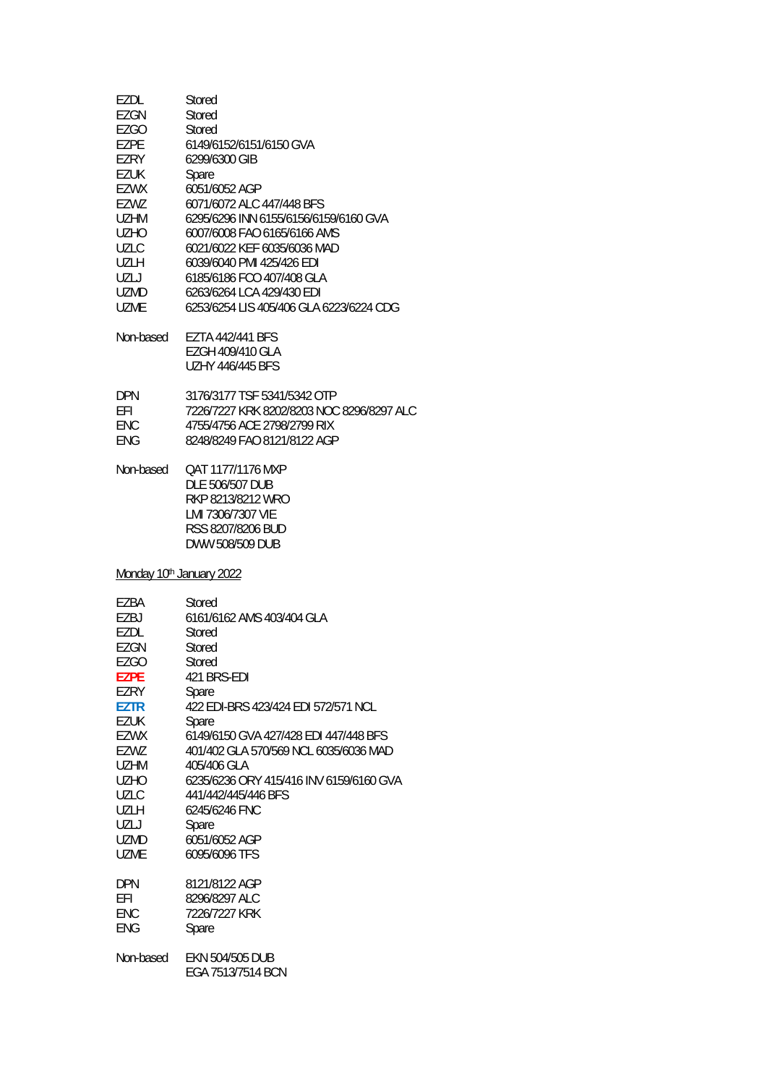| EZDL                                 | Stored                                                                                                                 |
|--------------------------------------|------------------------------------------------------------------------------------------------------------------------|
| EZGN                                 | Stored                                                                                                                 |
| <b>EZGO</b>                          | Stored                                                                                                                 |
| EZPE                                 | 6149/6152/6151/6150 GVA                                                                                                |
| EZRY                                 | 6299/6300 GIB                                                                                                          |
| <b>EZUK</b>                          | Spare                                                                                                                  |
| <b>EZWX</b>                          | 6051/6052 AGP                                                                                                          |
| EZWZ                                 | 6071/6072 ALC 447/448 BFS                                                                                              |
| <b>UZHM</b>                          | 6295/6296 INN 6155/6156/6159/6160 GVA                                                                                  |
| <b>UZHO</b>                          | 6007/6008 FAO 6165/6166 AMS                                                                                            |
| <b>UZLC</b>                          | 6021/6022 KEF 6035/6036 MAD                                                                                            |
| UZLH                                 | 6039/6040 PMI 425/426 EDI                                                                                              |
| UZLJ                                 | 6185/6186 FCO 407/408 GLA                                                                                              |
| UZMD                                 | 6263/6264 LCA 429/430 EDI                                                                                              |
| <b>UZME</b>                          | 6253/6254 LIS 405/406 GLA 6223/6224 CDG                                                                                |
| Non-based                            | <b>EZTA 442/441 BFS</b><br>EZGH 409/410 GLA<br><b>UZHY 446/445 BFS</b>                                                 |
| <b>DPN</b>                           | 3176/3177 TSF 5341/5342 OTP                                                                                            |
| <b>EFI</b>                           | 7226/7227 KRK 8202/8203 NOC 8296/8297 ALC                                                                              |
| <b>ENC</b>                           | 4755/4756 ACE 2798/2799 RIX                                                                                            |
| <b>ENG</b>                           | 8248/8249 FAO 8121/8122 AGP                                                                                            |
| Non-based                            | QAT 1177/1176 MXP<br>DLE 506/507 DUB<br>RKP 8213/8212 WRO<br>LMI 7306/7307 VIE<br>RSS 8207/8206 BUD<br>DWW 508/509 DUB |
| Monday 10 <sup>th</sup> January 2022 |                                                                                                                        |
| EZBA                                 | <b>Stored</b>                                                                                                          |
| EZBJ                                 | 6161/6162 AMS 403/404 GLA                                                                                              |
| EZDL                                 | Stored                                                                                                                 |
| EZGN                                 | Stored                                                                                                                 |
| EZGO                                 | Stored                                                                                                                 |
| <b>EZPE</b>                          | 421 BRS-EDI                                                                                                            |
| EZRY                                 | Spare                                                                                                                  |
| EZTR                                 | 422 EDI-BRS 423/424 EDI 572/571 NCL                                                                                    |
| <b>EZUK</b>                          | Spare                                                                                                                  |
| EZWX                                 | 6149/6150 GVA 427/428 EDI 447/448 BFS                                                                                  |
| EZWZ                                 | 401/402 GLA 570/569 NCL 6035/6036 MAD                                                                                  |
| UZHM                                 | 405/406 GLA                                                                                                            |
| <b>UZHO</b>                          | 6235/6236 ORY 415/416 INV 6159/6160 GVA                                                                                |
| UZLC                                 | 441/442/445/446 BFS                                                                                                    |
| UZLH                                 | 6245/6246 FNC                                                                                                          |
| UZLJ                                 | Spare                                                                                                                  |
| UZMD                                 | 6051/6052 AGP                                                                                                          |
| UZME                                 | 6095/6096 TFS                                                                                                          |
| <b>DPN</b>                           | 8121/8122 AGP                                                                                                          |
| EFI                                  | 8296/8297 ALC                                                                                                          |
| ENC                                  | 7226/7227 KRK                                                                                                          |
| <b>ENG</b>                           | Spare                                                                                                                  |
| Non-based                            | EKN 504/505 DUB<br>EGA 7513/7514 BCN                                                                                   |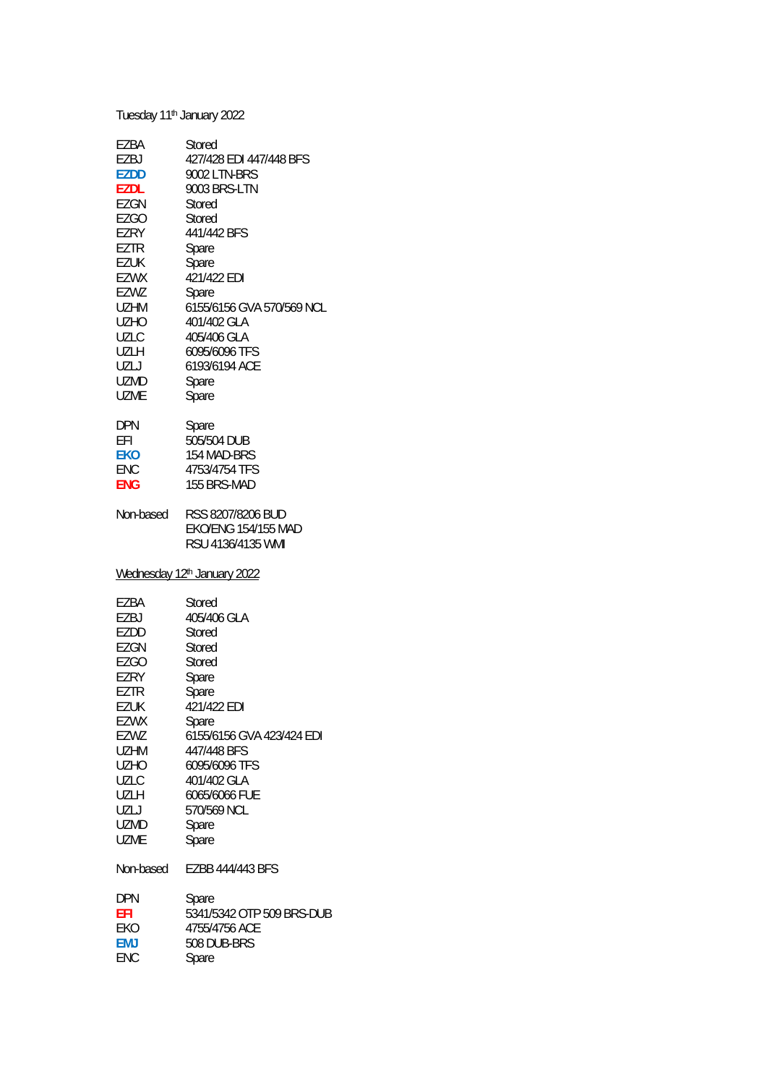| Tuesday 11 <sup>th</sup> January 2022 |                                                                      |
|---------------------------------------|----------------------------------------------------------------------|
| EZBA                                  | Stored                                                               |
| EZBJ                                  | 427/428 EDI 447/448 BFS                                              |
| <b>EZDD</b>                           | 9002 LTN-BRS                                                         |
| <b>EZDL</b>                           | 9003 BRS-LTN                                                         |
| <b>EZGN</b>                           | Stored                                                               |
| EZGO                                  | Stored                                                               |
| <b>EZRY</b>                           | 441/442 BFS                                                          |
| <b>EZTR</b>                           | Spare                                                                |
| EZUK                                  | Spare                                                                |
| EZWX                                  | 421/422 EDI                                                          |
| EZWZ                                  | Spare                                                                |
| UZHM                                  | 6155/6156 GVA 570/569 NCL                                            |
| UZHO                                  | 401/402 GLA                                                          |
| <b>UZLC</b>                           | 405/406 GLA                                                          |
| UZLH                                  | 6095/6096 TFS                                                        |
| UZLJ                                  | 6193/6194 ACE                                                        |
| UZMD                                  | Spare                                                                |
| UZME                                  | Spare                                                                |
| DPN                                   | Spare                                                                |
| EFI                                   | 505/504 DUB                                                          |
| <b>EKO</b>                            | 154 MAD-BRS                                                          |
| ENC                                   | 4753/4754 TFS                                                        |
| ENG                                   | 155 BRS-MAD                                                          |
| Non-based                             | RSS 8207/8206 BUD<br><b>EKO/ENG 154/155 MAD</b><br>RSU 4136/4135 WMI |
| Wednesday 12th January 2022           |                                                                      |
| EZBA                                  | Stored                                                               |
| EZBJ                                  | 405/406 GLA                                                          |
| EZDD                                  | Stored                                                               |
| EZGN                                  | Stored                                                               |
| <b>EZGO</b>                           | Stored                                                               |
| EZRY                                  | Spare                                                                |
| EZTR                                  | Spare                                                                |
| <b>EZUK</b>                           | 421/422 EDI                                                          |
| EZWX                                  | Spare                                                                |
| EZWZ                                  | 6155/6156 GVA 423/424 EDI                                            |
| UZHM                                  | 447/448 BFS                                                          |
| <b>UZHO</b>                           | 6095/6096 TFS                                                        |
| <b>UZLC</b>                           | 401/402 GLA                                                          |
| UZLH                                  | 6065/6066 FUE                                                        |
| UZLJ                                  | 570/569 NCL                                                          |
| UZMD                                  | Spare                                                                |
| <b>UZME</b>                           | Spare                                                                |
| Non-based                             | EZBB 444/443 BFS                                                     |
| DPN                                   | Spare                                                                |
| EFI                                   | 5341/5342 OTP 509 BRS-DUB                                            |
| EKO                                   | 4755/4756 ACE                                                        |
| <b>EMJ</b>                            | 508 DUB-BRS                                                          |
| ENC                                   | Spare                                                                |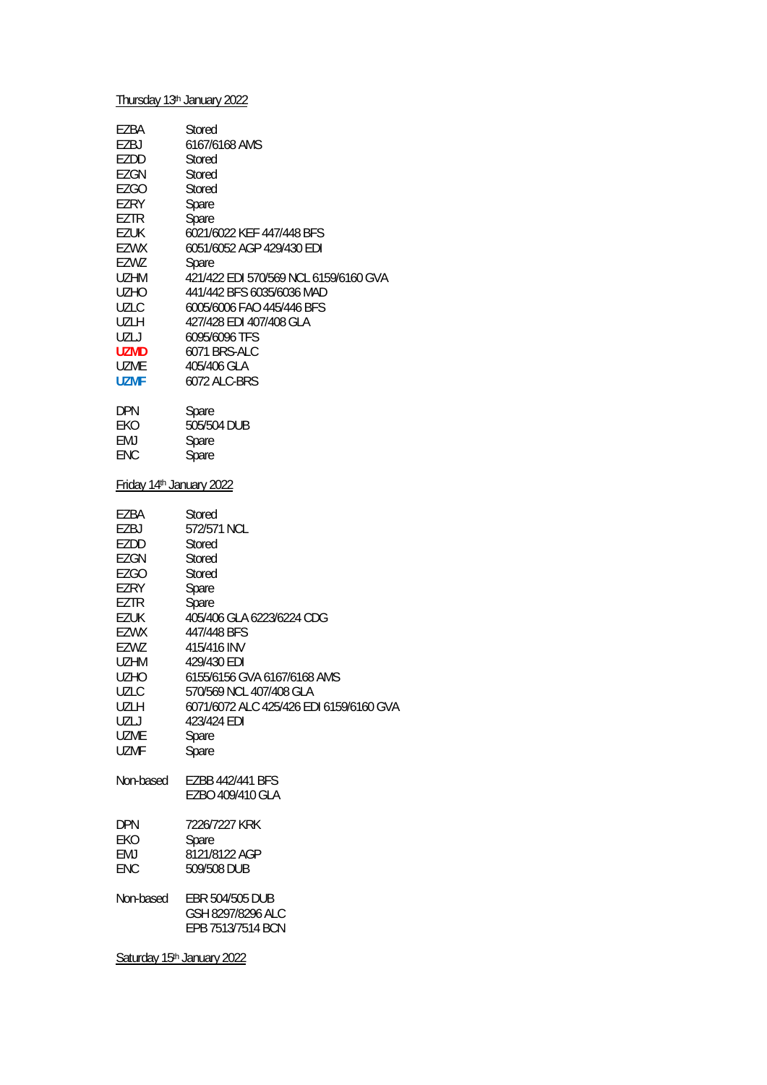|                          | Thursday 13th January 2022              |
|--------------------------|-----------------------------------------|
| EZBA                     | Stored                                  |
| EZBJ                     | 6167/6168 AMS                           |
| EZDD                     | Stored                                  |
| EZGN                     | Stored                                  |
| EZGO                     | Stored                                  |
| EZRY                     | Spare                                   |
|                          |                                         |
| EZTR                     | Spare                                   |
| EZUK                     | 6021/6022 KEF 447/448 BFS               |
| EZWX                     | 6051/6052 AGP 429/430 EDI               |
| EZWZ                     | Spare                                   |
| UZHM                     | 421/422 EDI 570/569 NCL 6159/6160 GVA   |
| UZHO                     | 441/442 BFS 6035/6036 MAD               |
| UZLC                     | 6005/6006 FAO 445/446 BFS               |
| UZLH                     | 427/428 EDI 407/408 GLA                 |
| UZLJ                     | 6095/6096 TFS                           |
| uzmd                     | 6071 BRS-ALC                            |
|                          |                                         |
| UZME                     | 405/406 GLA                             |
| <b>UZMF</b>              | 6072 ALC-BRS                            |
| <b>DPN</b>               | Spare                                   |
| EKO                      | 505/504 DUB                             |
| EMJ                      | Spare                                   |
| <b>ENC</b>               | Spare                                   |
|                          |                                         |
| Friday 14th January 2022 |                                         |
| EZBA                     | Stored                                  |
| EZBJ                     | 572/571 NCL                             |
| EZDD                     | Stored                                  |
| EZGN                     | Stored                                  |
| <b>EZGO</b>              | Stored                                  |
|                          |                                         |
| EZRY                     | Spare                                   |
| EZTR                     | Spare                                   |
| EZUK                     | 405/406 GLA 6223/6224 CDG               |
| EZWX                     | 447/448 BFS                             |
| EZWZ                     | 415/416 INV                             |
| UZHM                     | 429/430 EDI                             |
| UZHO                     | 6155/6156 GVA 6167/6168 AMS             |
| UZLC                     | 570/569 NCL 407/408 GLA                 |
| UZLH                     | 6071/6072 ALC 425/426 EDI 6159/6160 GVA |
| UZLJ                     | 423/424 EDI                             |
| <b>UZME</b>              | Spare                                   |
|                          |                                         |
| UZMF                     | Spare                                   |
| Non-based                | EZBB 442/441 BFS<br>EZBO 409/410 GLA    |
|                          |                                         |
| <b>DPN</b>               | 7226/7227 KRK                           |
| EKO                      | Spare                                   |
| EMJ                      | 8121/8122 AGP                           |
| ENC                      | 509/508 DUB                             |
|                          |                                         |
| Non-based                | EBR 504/505 DUB                         |
|                          | GSH 8297/8296 ALC                       |
|                          | EPB 7513/7514 BCN                       |
|                          |                                         |

Saturday 15<sup>th</sup> January 2022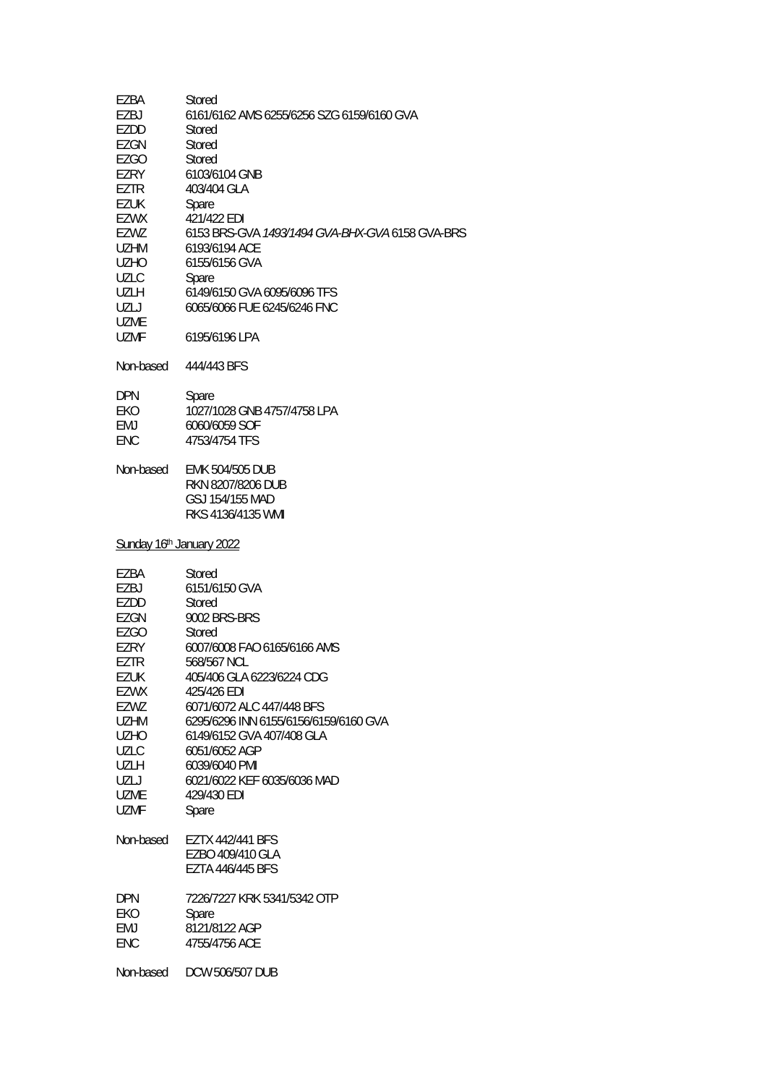| EZBA<br>EZBJ<br>EZDD<br><b>EZGN</b><br>EZGO<br>EZRY<br><b>EZTR</b><br><b>EZUK</b><br><b>EZWX</b><br>EZWZ<br><b>UZHM</b><br><b>UZHO</b><br><b>UZLC</b>                                 | Stored<br>6161/6162 AMS 6255/6256 SZG 6159/6160 GVA<br>Stored<br>Stored<br>Stored<br>6103/6104 GNB<br>403/404 GLA<br>Spare<br>421/422 EDI<br>6153 BRS-GVA 1493/1494 GVA-BHX-GVA 6158 GVA-BRS<br>6193/6194 ACE<br>6155/6156 GVA<br>Spare                                                                                                           |
|---------------------------------------------------------------------------------------------------------------------------------------------------------------------------------------|---------------------------------------------------------------------------------------------------------------------------------------------------------------------------------------------------------------------------------------------------------------------------------------------------------------------------------------------------|
| UZLH<br>UZLJ<br>UZME                                                                                                                                                                  | 6149/6150 GVA 6095/6096 TFS<br>6065/6066 FUE 6245/6246 FNC                                                                                                                                                                                                                                                                                        |
| UZMF<br>Non-based                                                                                                                                                                     | 6195/6196 LPA<br>444/443 BFS                                                                                                                                                                                                                                                                                                                      |
|                                                                                                                                                                                       |                                                                                                                                                                                                                                                                                                                                                   |
| <b>DPN</b><br>EKO<br>EMJ<br><b>ENC</b>                                                                                                                                                | Spare<br>1027/1028 GNB 4757/4758 LPA<br>6060/6059 SOF<br>4753/4754 TFS                                                                                                                                                                                                                                                                            |
| Non-based                                                                                                                                                                             | <b>EMK 504/505 DUB</b><br>RKN 8207/8206 DUB<br>GSJ 154/155 MAD<br>RKS 4136/4135 WMI                                                                                                                                                                                                                                                               |
| Sunday 16th January 2022                                                                                                                                                              |                                                                                                                                                                                                                                                                                                                                                   |
| EZBA<br>EZBJ<br>EZDD<br>EZGN<br><b>EZGO</b><br><b>EZRY</b><br>EZTR<br>EZUK<br>EZWX<br>EZWZ<br><b>UZHM</b><br><b>UZHO</b><br><b>UZLC</b><br>UZLH<br>UZLJ<br><b>UZME</b><br><b>UZMF</b> | Stored<br>6151/6150 GVA<br>Stored<br>9002 BRS-BRS<br>Stored<br>6007/6008 FAO 6165/6166 AMS<br>568/567 NCL<br>405/406 GLA 6223/6224 CDG<br>425/426 EDI<br>6071/6072 ALC 447/448 BFS<br>6295/6296 INN 6155/6156/6159/6160 GVA<br>6149/6152 GVA 407/408 GLA<br>6051/6052 AGP<br>6039/6040 PMI<br>6021/6022 KEF 6035/6036 MAD<br>429/430 EDI<br>Spare |
| Non-based                                                                                                                                                                             | <b>EZTX 442/441 BFS</b><br>EZBO 409/410 GLA<br>EZTA 446/445 BFS                                                                                                                                                                                                                                                                                   |
| <b>DPN</b><br>EKO<br>EMJ<br><b>ENC</b>                                                                                                                                                | 7226/7227 KRK 5341/5342 OTP<br>Spare<br>8121/8122 AGP<br>4755/4756 ACE                                                                                                                                                                                                                                                                            |
| Non-based                                                                                                                                                                             | <b>DCW 506/507 DUB</b>                                                                                                                                                                                                                                                                                                                            |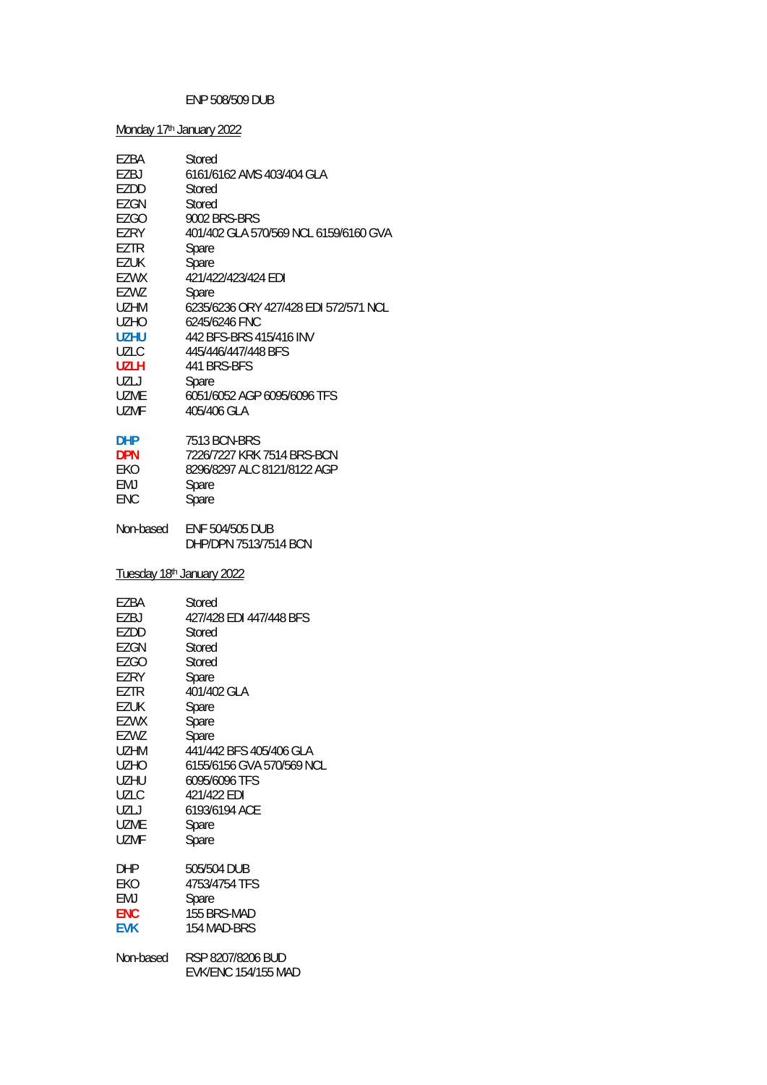## ENP 508/509 DUB

| Monday 17th January 2022  |                                                 |
|---------------------------|-------------------------------------------------|
| EZBA                      | <b>Stored</b>                                   |
| EZBJ                      | 6161/6162 AMS 403/404 GLA                       |
| EZDD                      | Stored                                          |
| EZGN                      | Stored                                          |
| EZGO                      | 9002 BRS-BRS                                    |
| EZRY                      | 401/402 GLA 570/569 NCL 6159/6160 GVA           |
| <b>EZTR</b>               | Spare                                           |
| EZUK                      | Spare                                           |
| EZWX                      | 421/422/423/424 EDI                             |
| EZWZ                      | Spare                                           |
| UZHM                      | 6235/6236 ORY 427/428 EDI 572/571 NCL           |
| UZHO                      | 6245/6246 FNC                                   |
| <b>UZHU</b>               | 442 BFS-BRS 415/416 INV                         |
| <b>UZLC</b>               | 445/446/447/448 BFS                             |
| <b>UZLH</b>               | 441 BRS-BFS                                     |
| UZLJ                      | Spare                                           |
| UZME                      | 6051/6052 AGP 6095/6096 TFS                     |
| UZMF                      | 405/406 GLA                                     |
| <b>DHP</b>                | 7513 BCN-BRS                                    |
| <b>DPN</b>                | 7226/7227 KRK 7514 BRS-BCN                      |
| EKO                       | 8296/8297 ALC 8121/8122 AGP                     |
| EMJ                       | Spare                                           |
| ENC                       | Spare                                           |
| Non-based                 | <b>ENF 504/505 DUB</b><br>DHP/DPN 7513/7514 BCN |
| Tuesday 18th January 2022 |                                                 |
| EZBA                      | Stored                                          |
| EZBJ                      | 427/428 EDI 447/448 BFS                         |
| EZDD                      | Stored                                          |
| <b>EZGN</b>               | Stored                                          |
| <b>EZGO</b>               | Stored                                          |
| EZRY                      | Spare                                           |
| EZTR                      | 401/402 GLA                                     |
| <b>EZUK</b>               | Spare                                           |
| EZWX                      | Spare                                           |
| EZWZ                      | Spare                                           |
| UZHM                      | 441/442 BFS 405/406 GLA                         |
| UZHO                      | 6155/6156 GVA 570/569 NCL                       |
| UZHU                      | 6095/6096 TFS                                   |
| <b>UZLC</b>               | 421/422 EDI                                     |
| UZLJ                      | 6193/6194 ACE                                   |
| UZME                      | Spare                                           |
| UZMF                      | Spare                                           |
| DHP                       | 505/504 DUB                                     |
| EKO                       | 4753/4754 TFS                                   |
| EMJ                       | Spare                                           |
| ENC                       | 155 BRS-MAD                                     |
| <b>EVK</b>                | 154 MAD-BRS                                     |
| Non-based                 | RSP 8207/8206 BUD<br><b>EVK/ENC 154/155 MAD</b> |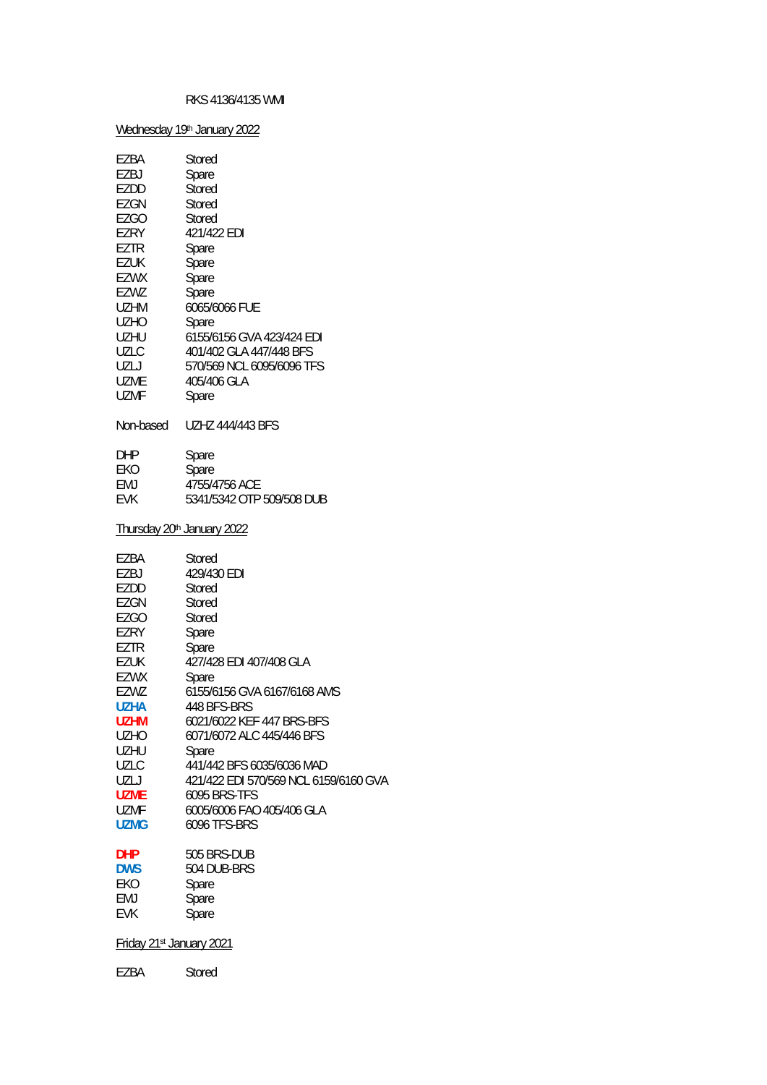### RKS 4136/4135 WMI

Wednesday 19th January 2022

| EZBA                                                                      | Stored                                                |
|---------------------------------------------------------------------------|-------------------------------------------------------|
| EZBJ                                                                      | Spare                                                 |
| EZDD                                                                      | Stored                                                |
| EZGN                                                                      | Stored                                                |
| EZGO                                                                      | Stored                                                |
| EZRY                                                                      | 421/422 EDI                                           |
| EZTR                                                                      | Spare                                                 |
| <b>EZUK</b>                                                               | Spare                                                 |
| EZWX                                                                      | Spare                                                 |
| EZWZ                                                                      | Spare                                                 |
| UZHM                                                                      | 6065/6066 FUE                                         |
| <b>UZHO</b>                                                               | Spare                                                 |
| UZHU                                                                      | 6155/6156 GVA 423/424 EDI                             |
| UZLC                                                                      | 401/402 GLA 447/448 BFS                               |
| UZLJ                                                                      | 570/569 NCL 6095/6096 TFS                             |
| UZME                                                                      | 405/406 GLA                                           |
| UZMF                                                                      | Spare                                                 |
| Non-based                                                                 | <b>UZHZ 444/443 BFS</b>                               |
| DHP                                                                       | Spare                                                 |
| EKO                                                                       | Spare                                                 |
| EMJ                                                                       | 4755/4756 ACE                                         |
| EVK                                                                       | 5341/5342 OTP 509/508 DUB                             |
| Thursday 20 <sup>th</sup> January 2022                                    |                                                       |
| EZBA                                                                      | Stored                                                |
| EZBJ                                                                      | 429/430 EDI                                           |
| EZDD                                                                      | Stored                                                |
| EZGN                                                                      | Stored                                                |
| <b>EZGO</b>                                                               | Stored                                                |
| EZRY                                                                      | Spare                                                 |
| EZTR                                                                      | Spare                                                 |
| EZUK                                                                      | 427/428 EDI 407/408 GLA                               |
| EZWX                                                                      | Spare                                                 |
| EZWZ                                                                      | 6155/6156 GVA 6167/6168 AMS                           |
| UZHA                                                                      | 448 BFS-BRS                                           |
| <b>UZHM</b>                                                               | 6021/6022 KEF 447 BRS-BFS                             |
| <b>UZHO</b>                                                               | 6071/6072 ALC 445/446 BFS                             |
| UZHU                                                                      | Spare                                                 |
| UZLC                                                                      | 441/442 BFS 6035/6036 MAD                             |
| UZLJ                                                                      | 421/422 EDI 570/569 NCL 6159/6160 GVA                 |
| <b>UZME</b>                                                               | <b>6095 BRS-TFS</b>                                   |
| UZMF                                                                      | 6005/6006 FAO 405/406 GLA                             |
| <b>UZMG</b>                                                               | <b>6096 TFS-BRS</b>                                   |
| <b>DHP</b><br><b>DWS</b><br>EKO<br>EMJ<br>EVK<br>Friday 21st January 2021 | 505 BRS-DUB<br>504 DUB-BRS<br>Spare<br>Spare<br>Spare |

EZBA Stored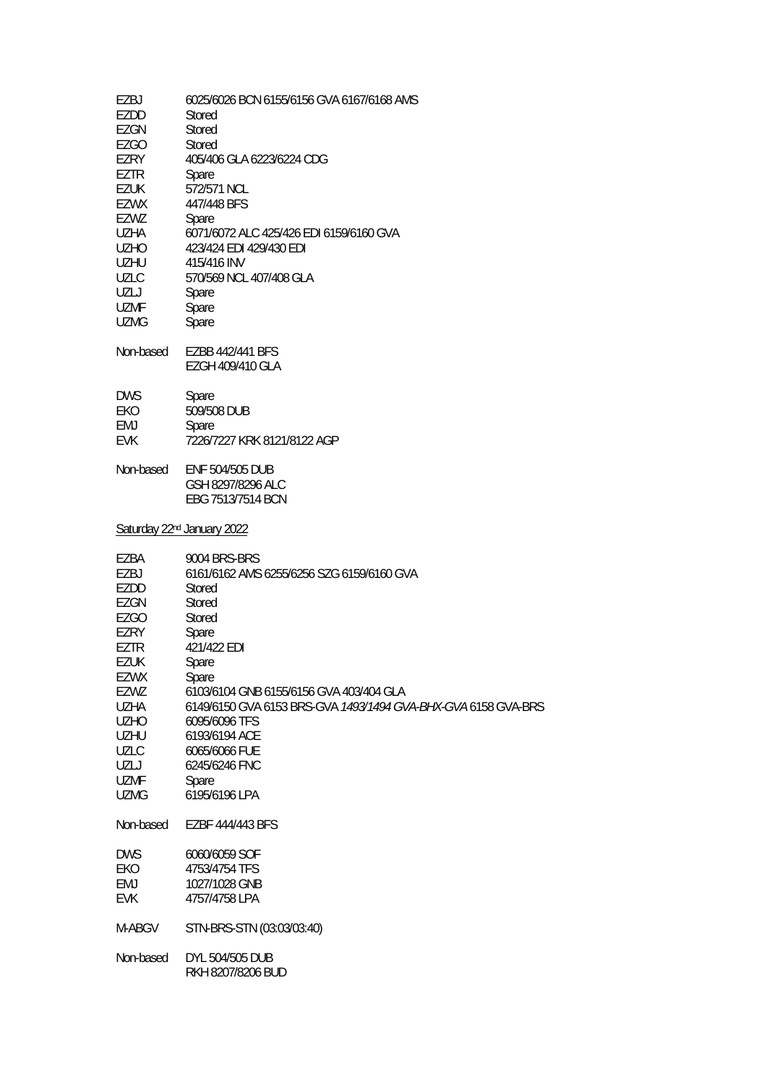| EZBJ<br>EZDD<br>EZGN       | 6025/6026 BCN 6155/6156 GVA 6167/6168 AMS<br>Stored<br>Stored |
|----------------------------|---------------------------------------------------------------|
| <b>EZGO</b>                | Stored                                                        |
| EZRY                       | 405/406 GLA 6223/6224 CDG                                     |
| EZTR                       | Spare                                                         |
| <b>EZUK</b><br><b>EZWX</b> | 572/571 NCL<br>447/448 BFS                                    |
| EZWZ                       | Spare                                                         |
| UZHA                       | 6071/6072 ALC 425/426 EDI 6159/6160 GVA                       |
| <b>UZHO</b>                | 423/424 EDI 429/430 EDI                                       |
| UZHU                       | 415/416 INV                                                   |
| UZLC<br>UZLJ               | 570/569 NCL 407/408 GLA<br>Spare                              |
| <b>UZMF</b>                | Spare                                                         |
| <b>UZMG</b>                | Spare                                                         |
|                            |                                                               |
| Non-based                  | EZBB 442/441 BFS<br>EZGH 409/410 GLA                          |
|                            |                                                               |
| <b>DWS</b>                 | Spare                                                         |
| EKO<br>EMJ                 | 509/508 DUB<br>Spare                                          |
| <b>EVK</b>                 | 7226/7227 KRK 8121/8122 AGP                                   |
| Non-based                  | ENF 504/505 DUB                                               |
|                            | GSH 8297/8296 ALC                                             |
|                            | EBG 7513/7514 BCN                                             |
|                            | Saturday 22 <sup>nd</sup> January 2022                        |
| EZBA                       | 9004 BRS-BRS                                                  |
| EZBJ                       | 6161/6162 AMS 6255/6256 SZG 6159/6160 GVA                     |
| EZDD<br>EZGN               | Stored<br>Stored                                              |
| <b>EZGO</b>                | Stored                                                        |
| EZRY                       | Spare                                                         |
| EZTR                       | 421/422 EDI                                                   |
| EZUK                       | Spare                                                         |
| <b>EZWX</b><br>EZWZ        | Spare<br>6103/6104 GNB 6155/6156 GVA 403/404 GLA              |
| <b>UZHA</b>                | 6149/6150 GVA 6153 BRS-GVA 1493/1494 GVA-BHX-GVA 6158 GVA-BRS |
| <b>UZHO</b>                | 6095/6096 TFS                                                 |
| <b>UZHU</b>                | 6193/6194 ACE                                                 |
| <b>UZLC</b><br>UZLJ        | 6065/6066 FUE<br>6245/6246 FNC                                |
| <b>UZMF</b>                | Spare                                                         |
| <b>UZMG</b>                | 6195/6196 LPA                                                 |
| Non-based                  | EZBF 444/443 BFS                                              |
| <b>DWS</b>                 | 6060/6059 SOF                                                 |
| EKO                        | 4753/4754 TFS                                                 |
| EMJ                        | 1027/1028 GNB                                                 |
| <b>EVK</b>                 | 4757/4758 LPA                                                 |
| M-ABGV                     | STN-BRS-STN (03:03/03:40)                                     |
| Non-based                  | DYL 504/505 DUB<br>RKH 8207/8206 BUD                          |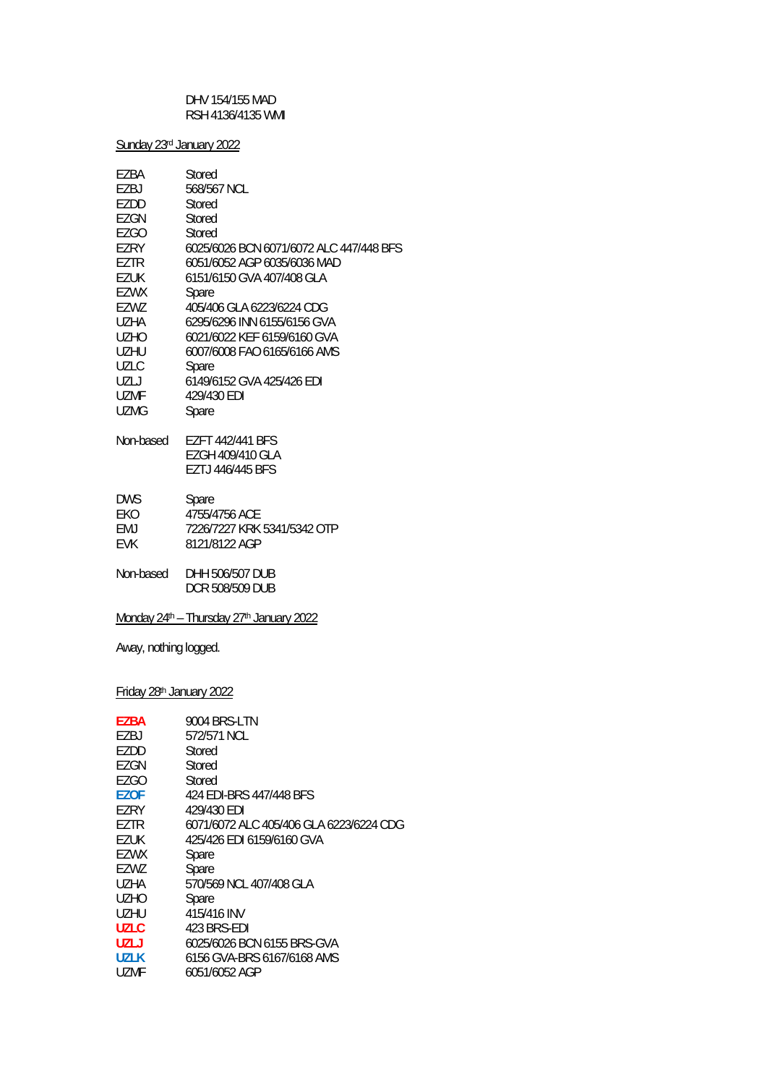DHV 154/155 MAD RSH 4136/4135 WMI

Sunday 23rd January 2022

| EZBA              | Stored                                  |
|-------------------|-----------------------------------------|
| EZBJ              | 568/567 NCL                             |
| EZDD              | Stored                                  |
| EZGN              | Stored                                  |
| <b>EZGO</b>       | Stored                                  |
| EZRY              | 6025/6026 BCN 6071/6072 ALC 447/448 BFS |
| EZTR              | 6051/6052 AGP 6035/6036 MAD             |
| EZUK              | 6151/6150 GVA 407/408 GLA               |
| EZWX              | Spare                                   |
| EZWZ              | 405/406 GLA 6223/6224 CDG               |
| UZHA              | 6295/6296 INN 6155/6156 GVA             |
| UZHO.             | 6021/6022 KFF 6159/6160 GVA             |
| UZHU              | 6007/6008 FAO 6165/6166 AMS             |
| UZLC              | Spare                                   |
| UZLJ              | 6149/6152 GVA 425/426 EDI               |
| UZMF              | 429/430 EDI                             |
| UZMG              | Spare                                   |
|                   |                                         |
| Non-based         | EZFT 442/441 BFS                        |
|                   | EZGH 409/410 GLA                        |
|                   | EZTJ 446/445 BFS                        |
|                   |                                         |
| <b>DWS</b><br>EKO | Spare<br>4755/4756 ACE                  |
| EMJ               | 7226/7227 KRK 5341/5342 OTP             |
| EVK               | 8121/8122 AGP                           |
|                   |                                         |
| Non-based         | DHH 506/507 DUB                         |
|                   | <b>DCR 508/509 DUB</b>                  |
|                   |                                         |

Monday 24<sup>th</sup> - Thursday 27<sup>th</sup> January 2022

Away, nothing logged.

Friday 28th January 2022

| <b>F7BA</b> | 9004 BRS-LTN                            |
|-------------|-----------------------------------------|
| F7BJ        | 572/571 NCL                             |
| EZDD        | Stored                                  |
| EZGN        | Stored                                  |
| EZGO        | Stored                                  |
| F70F        | 424 EDI-BRS 447/448 BFS                 |
| EZRY        | 429/430 EDI                             |
| EZTR        | 6071/6072 ALC 405/406 GLA 6223/6224 CDG |
| EZUK        | 425/426 EDI 6159/6160 GVA               |
| EZWX        | Spare                                   |
| EZWZ        | Spare                                   |
| UZHA        | 570/569 NCL 407/408 GLA                 |
| UZHO        | Spare                                   |
| UZHU        | 415/416 INV                             |
| <b>UZLC</b> | 423 BRS-FDI                             |
| UZLJ        | 6025/6026 BCN 6155 BRS-GVA              |
| UZLK        | 6156 GVA-BRS 6167/6168 AMS              |
| UZMF        | 6051/6052 AGP                           |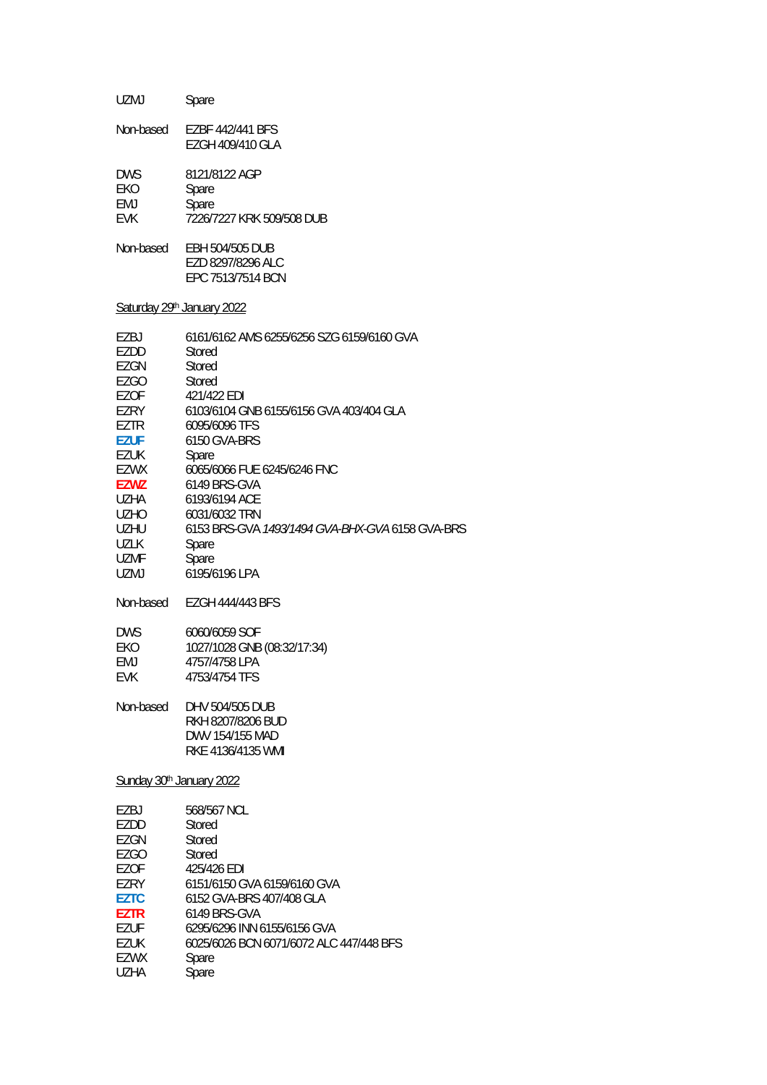| <b>UZMJ</b>                                                                                                                                                                                                                                                              | Spare                                                                                                                                                                                                                                                                                                                                                                                                                                                                  |
|--------------------------------------------------------------------------------------------------------------------------------------------------------------------------------------------------------------------------------------------------------------------------|------------------------------------------------------------------------------------------------------------------------------------------------------------------------------------------------------------------------------------------------------------------------------------------------------------------------------------------------------------------------------------------------------------------------------------------------------------------------|
| Non-based                                                                                                                                                                                                                                                                | EZBF 442/441 BFS<br>EZGH 409/410 GLA                                                                                                                                                                                                                                                                                                                                                                                                                                   |
| <b>DWS</b><br>EKO<br>EMJ<br><b>EVK</b>                                                                                                                                                                                                                                   | 8121/8122 AGP<br>Spare<br>Spare<br>7226/7227 KRK 509/508 DUB                                                                                                                                                                                                                                                                                                                                                                                                           |
| Non-based                                                                                                                                                                                                                                                                | EBH 504/505 DUB<br>EZD 8297/8296 ALC<br>EPC 7513/7514 BCN                                                                                                                                                                                                                                                                                                                                                                                                              |
| Saturday 29th January 2022                                                                                                                                                                                                                                               |                                                                                                                                                                                                                                                                                                                                                                                                                                                                        |
| EZBJ<br>EZDD<br><b>EZGN</b><br><b>EZGO</b><br><b>EZOF</b><br>EZRY<br>EZTR<br><b>EZUF</b><br><b>EZUK</b><br>EZWX<br><b>EZWZ</b><br><b>UZHA</b><br><b>UZHO</b><br>UZHU<br><b>UZLK</b><br><b>UZMF</b><br><b>UZMJ</b><br>Non-based<br><b>DWS</b><br>EKO<br><b>EMJ</b><br>EVK | 6161/6162 AMS 6255/6256 SZG 6159/6160 GVA<br>Stored<br><b>Stored</b><br>Stored<br>421/422 FDI<br>6103/6104 GNB 6155/6156 GVA 403/404 GLA<br>6095/6096 TFS<br>6150 GVA-BRS<br>Spare<br>6065/6066 FUE 6245/6246 FNC<br>6149 BRS-GVA<br>6193/6194 ACE<br>6031/6032 TRN<br>6153 BRS-GVA 1493/1494 GVA-BHX-GVA 6158 GVA-BRS<br>Spare<br>Spare<br>6195/6196 LPA<br><b>EZGH 444/443 BFS</b><br>6060/6059 SOF<br>1027/1028 GNB (08:32/17:34)<br>4757/4758 LPA<br>4753/4754 TFS |
| Non-based                                                                                                                                                                                                                                                                | DHV 504/505 DUB<br>RKH 8207/8206 BUD<br>DWV 154/155 MAD<br>RKE 4136/4135 WMI                                                                                                                                                                                                                                                                                                                                                                                           |
| Sunday 30th January 2022                                                                                                                                                                                                                                                 |                                                                                                                                                                                                                                                                                                                                                                                                                                                                        |
| EZBJ<br>EZDD<br>EZGN<br><b>EZGO</b><br>EZOF<br>EZRY<br><b>EZTC</b><br><b>EZTR</b><br><b>EZUF</b><br><b>EZUK</b><br>EZWX<br><b>UZHA</b>                                                                                                                                   | 568/567 NCL<br>Stored<br>Stored<br>Stored<br>425/426 EDI<br>6151/6150 GVA 6159/6160 GVA<br>6152 GVA-BRS 407/408 GLA<br>6149 BRS-GVA<br>6295/6296 INN 6155/6156 GVA<br>6025/6026 BCN 6071/6072 ALC 447/448 BFS<br>Spare<br>Spare                                                                                                                                                                                                                                        |